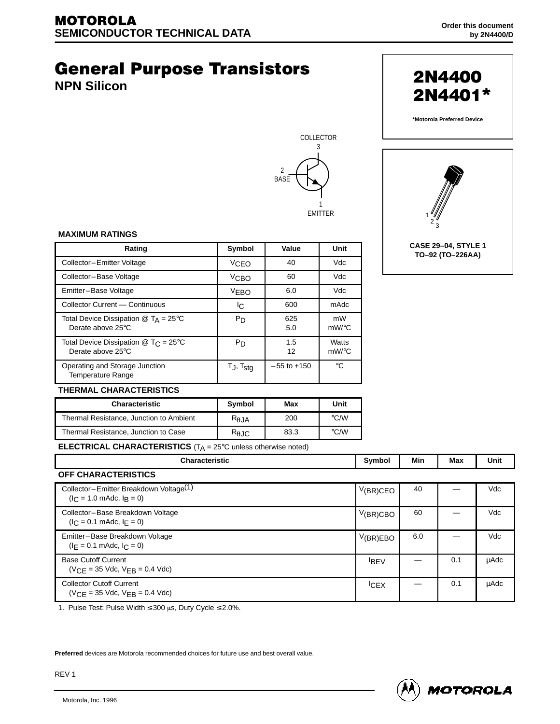# **General Purpose Transistors**

**NPN Silicon**





**2N4400** 

**\*Motorola Preferred Device**

2N4401\*

#### **MAXIMUM RATINGS**

| Rating                                                                                | Value<br>Symbol       |                 | Unit              |  |
|---------------------------------------------------------------------------------------|-----------------------|-----------------|-------------------|--|
| Collector-Emitter Voltage                                                             | VCEO                  | 40              | Vdc               |  |
| Collector-Base Voltage                                                                | V <sub>CBO</sub>      | 60              | Vdc               |  |
| Emitter-Base Voltage                                                                  | V <sub>EBO</sub>      | 6.0             | Vdc               |  |
| Collector Current - Continuous                                                        | IC.                   | 600             | mAdc              |  |
| Total Device Dissipation $@$ T <sub>A</sub> = 25°C<br>Derate above 25°C               | P <sub>D</sub>        | 625<br>5.0      | mW<br>$mW$ /°C    |  |
| Total Device Dissipation $\textcircled{2}$ T <sub>C</sub> = 25°C<br>Derate above 25°C | P <sub>D</sub>        | 1.5<br>12       | Watts<br>$mW$ /°C |  |
| Operating and Storage Junction<br><b>Temperature Range</b>                            | T.J, T <sub>stg</sub> | $-55$ to $+150$ | °C                |  |



#### **THERMAL CHARACTERISTICS**

| <b>Characteristic</b>                   | <b>Symbol</b>  | Max  | Unit               |
|-----------------------------------------|----------------|------|--------------------|
| Thermal Resistance, Junction to Ambient | $R_{\theta$ JA | 200  | $\rm ^{\circ}$ C/W |
| Thermal Resistance, Junction to Case    | $R_{\theta$ JC | 83.3 | $\rm ^{\circ}$ C/W |

**ELECTRICAL CHARACTERISTICS** (T<sub>A</sub> = 25°C unless otherwise noted)

| <b>Characteristic</b>                                                                         | Symbol      | Min | Max | Unit        |
|-----------------------------------------------------------------------------------------------|-------------|-----|-----|-------------|
| <b>OFF CHARACTERISTICS</b>                                                                    |             |     |     |             |
| Collector-Emitter Breakdown Voltage <sup>(1)</sup><br>$(I_C = 1.0 \text{ m}$ Adc, $I_B = 0$ ) | $V(BR)$ CEO | 40  |     | Vdc         |
| Collector-Base Breakdown Voltage<br>$(I_C = 0.1 \text{ m}$ Adc, $I_F = 0$ )                   | V(BR)CBO    | 60  |     | Vdc         |
| Emitter-Base Breakdown Voltage<br>$(I_F = 0.1 \text{ m}$ Adc, $I_C = 0$ )                     | V(BR)EBO    | 6.0 |     | Vdc         |
| <b>Base Cutoff Current</b><br>$(VCF = 35$ Vdc, $VFR = 0.4$ Vdc)                               | <b>IBEV</b> |     | 0.1 | <b>µAdc</b> |
| <b>Collector Cutoff Current</b><br>$(VCF = 35$ Vdc, $VFR = 0.4$ Vdc)                          | <b>CEX</b>  |     | 0.1 | <b>µAdc</b> |

1. Pulse Test: Pulse Width  $\leq 300$  µs, Duty Cycle  $\leq 2.0\%$ .

**Preferred** devices are Motorola recommended choices for future use and best overall value.



REV 1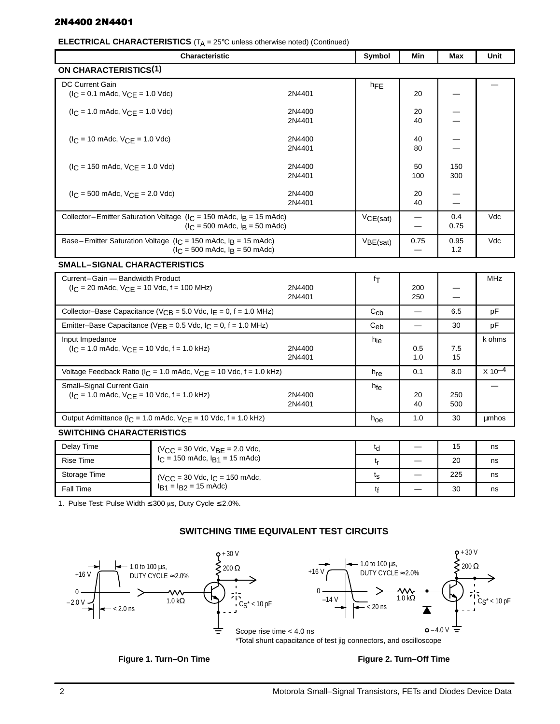# 2N4400 2N4401

#### **ELECTRICAL CHARACTERISTICS** (T<sub>A</sub> = 25°C unless otherwise noted) (Continued)

| <b>Characteristic</b>                                                                                           |                  | Symbol          | Min                      | <b>Max</b>  | <b>Unit</b> |
|-----------------------------------------------------------------------------------------------------------------|------------------|-----------------|--------------------------|-------------|-------------|
| <b>ON CHARACTERISTICS(1)</b>                                                                                    |                  |                 |                          |             |             |
| DC Current Gain<br>$(I_C = 0.1 \text{ m}$ Adc, $V_{CE} = 1.0 \text{ V}$ dc)                                     | 2N4401           | $h_{FE}$        | 20                       |             |             |
| $I_C = 1.0$ mAdc, $V_{CE} = 1.0$ Vdc)                                                                           | 2N4400<br>2N4401 |                 | 20<br>40                 |             |             |
| $(I_C = 10 \text{ m}$ Adc, $V_{CF} = 1.0 \text{ V}$ dc)                                                         | 2N4400<br>2N4401 |                 | 40<br>80                 |             |             |
| $I_C = 150$ mAdc, $V_{C}F = 1.0$ Vdc)                                                                           | 2N4400<br>2N4401 |                 | 50<br>100                | 150<br>300  |             |
| $I_C = 500$ mAdc, $V_{CE} = 2.0$ Vdc)                                                                           | 2N4400<br>2N4401 |                 | 20<br>40                 |             |             |
| Collector-Emitter Saturation Voltage ( $I_C$ = 150 mAdc, $I_B$ = 15 mAdc)<br>$I_C = 500$ mAdc, $I_B = 50$ mAdc) |                  | VCE(sat)        |                          | 0.4<br>0.75 | Vdc         |
| Base-Emitter Saturation Voltage ( $I_C$ = 150 mAdc, $I_R$ = 15 mAdc)<br>$I_C = 500$ mAdc, $I_B = 50$ mAdc)      |                  | VBE(sat)        | 0.75                     | 0.95<br>1.2 | Vdc         |
| <b>SMALL-SIGNAL CHARACTERISTICS</b>                                                                             |                  |                 |                          |             |             |
| Current-Gain - Bandwidth Product<br>$(I_C = 20 \text{ m}$ Adc, $V_{CE} = 10 \text{ V}$ dc, f = 100 MHz)         | 2N4400<br>2N4401 | fτ              | 200<br>250               |             | <b>MHz</b>  |
| Collector-Base Capacitance ( $V_{CB}$ = 5.0 Vdc, $I_E$ = 0, f = 1.0 MHz)                                        |                  | $C_{cb}$        | $\overline{\phantom{0}}$ | 6.5         | pF          |
| Emitter-Base Capacitance ( $V_{EB}$ = 0.5 Vdc, $I_C$ = 0, f = 1.0 MHz)                                          |                  | $C_{eb}$        |                          | 30          | pF          |
| Input Impedance<br>$(I_C = 1.0 \text{ m}$ Adc, $V_{CE} = 10 \text{ Vdc}$ , f = 1.0 kHz)                         | 2N4400<br>2N4401 | h <sub>ie</sub> | 0.5<br>1.0               | 7.5<br>15   | k ohms      |
| Voltage Feedback Ratio ( $I_C = 1.0$ mAdc, $V_{CE} = 10$ Vdc, $f = 1.0$ kHz)                                    |                  | h <sub>re</sub> | 0.1                      | 8.0         | $X 10^{-4}$ |
| Small-Signal Current Gain<br>$(I_C = 1.0 \text{ m}$ Adc, $V_{CE} = 10 \text{ Vdc}, f = 1.0 \text{ kHz}$         | 2N4400<br>2N4401 | h <sub>fe</sub> | 20<br>40                 | 250<br>500  |             |

# Output Admittance ( $I_C = 1.0$  mAdc,  $V_{CE} = 10$  Vdc, f = 1.0 kHz) h<sub>oe</sub> 1.0  $h_{0e}$  1.0 30 µmhos **SWITCHING CHARACTERISTICS**

| Delay Time   | $(V_{CC} = 30$ Vdc, $V_{BE} = 2.0$ Vdc,<br>$I_C = 150$ mAdc, $I_{R1} = 15$ mAdc) | ٢d | 15  | ns |
|--------------|----------------------------------------------------------------------------------|----|-----|----|
| Rise Time    |                                                                                  |    | 20  | ns |
| Storage Time | $(V_{CC} = 30$ Vdc, $I_C = 150$ mAdc,<br>$I_{B1} = I_{B2} = 15$ mAdc)            | ις | 225 | ns |
| Fall Time    |                                                                                  |    | 30  | ns |

1. Pulse Test: Pulse Width  $\leq 300$  µs, Duty Cycle  $\leq 2.0\%$ .

# **SWITCHING TIME EQUIVALENT TEST CIRCUITS**



# Figure 1. Turn–On Time **Figure 2. Turn–Off Time**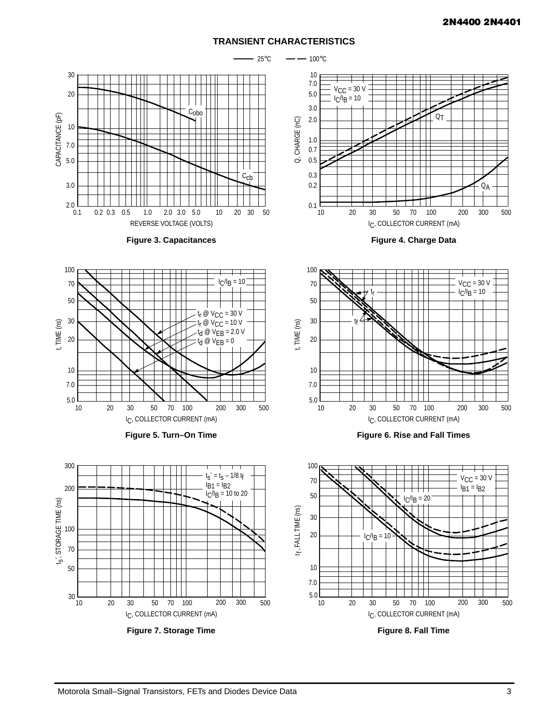#### **TRANSIENT CHARACTERISTICS**

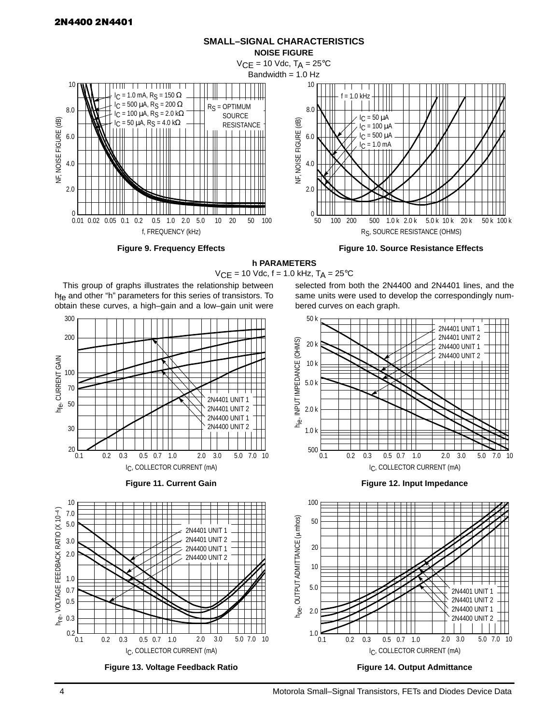

**SMALL–SIGNAL CHARACTERISTICS**

**Figure 9. Frequency Effects**

**Figure 10. Source Resistance Effects**

**h PARAMETERS**  $VCE = 10$  Vdc,  $f = 1.0$  kHz,  $T_A = 25$ °C





![](_page_3_Figure_7.jpeg)

![](_page_3_Figure_8.jpeg)

![](_page_3_Figure_9.jpeg)

selected from both the 2N4400 and 2N4401 lines, and the same units were used to develop the correspondingly num-

![](_page_3_Figure_10.jpeg)

![](_page_3_Figure_11.jpeg)

![](_page_3_Figure_12.jpeg)

10 h <sub>re</sub> , VOLTAGE FEEDBACK RATIO (X 10<sup>-4</sup> ) VOLTAGE FEEDBACK RATIO (X 10-4) 7.0 5.0 2N4401 UNIT 1 2N4401 UNIT 2 3.0 2N4400 UNIT 1 2.0 2N4400 UNIT 2 1.0 0.7 0.5  $h_{\text{re}}$ , 0.3  $0.2$   $-$ <br>0.1 0.1 0.2 0.5 0.7 1.0 0.3 2.0 3.0 10 5.0 7.0 IC, COLLECTOR CURRENT (mA)

![](_page_3_Figure_14.jpeg)

![](_page_3_Figure_15.jpeg)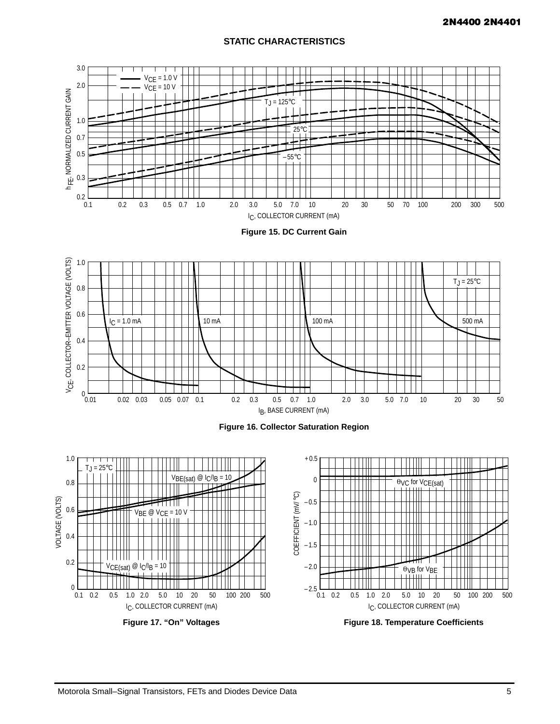# **STATIC CHARACTERISTICS**

![](_page_4_Figure_2.jpeg)

![](_page_4_Figure_3.jpeg)

![](_page_4_Figure_4.jpeg)

![](_page_4_Figure_5.jpeg)

![](_page_4_Figure_6.jpeg)

**Figure 17. "On" Voltages**

![](_page_4_Figure_8.jpeg)

**Figure 18. Temperature Coefficients**